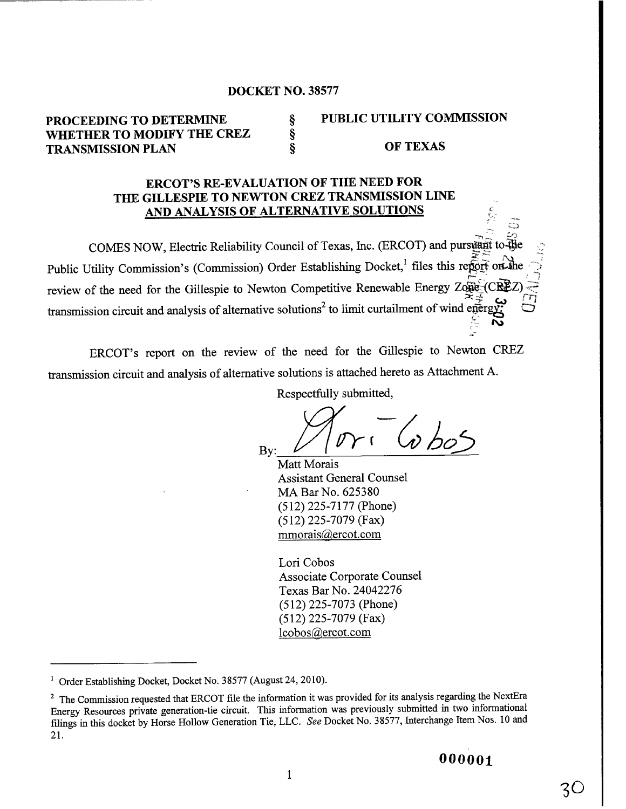### DOCKET NO. 38577

# PROCEEDING TO DETERMINE  $\S$  PUBLIC UTILITY COMMISSION WHETHER TO MODIFY THE CREZ § TRANSMISSION PLAN § 6 OF TEXAS

## ERCOT'S RE-EVALUATION OF THE NEED FOR THE GILLESPIE TO NEWTON CREZ TRANSMISSION LINE AND ANALYSIS OF ALTERNATIVE SOLUTIONS

COMES NOW, Electric Reliability Council of Texas, Inc. (ERCOT) and pursuant to Public Utility Commission's (Commission) Order Establishing Docket,<sup>1</sup> files this report on the review of the need for the Gillespie to Newton Competitive Renewable Energy Zo $\widehat{CCE}$ transmission circuit and analysis of alternative solutions<sup>2</sup> to limit curtailment of wind egergy.

ERCOT's report on the review of the need for the Gillespie to Newton CREZ transmission circuit and analysis of alternative solutions is attached hereto as Attachment A.

Respectfully submitted,

Respectfully s<br>By:  $\frac{1}{\sqrt{1-\frac{1}{1-\frac{1}{1-\frac{1}{1-\frac{1}{1-\frac{1}{1-\frac{1}{1-\frac{1}{1-\frac{1}{1-\frac{1}{1-\frac{1}{1-\frac{1}{1-\frac{1}{1-\frac{1}{1-\frac{1}{1-\frac{1}{1-\frac{1}{1-\frac{1}{1-\frac{1}{1-\frac{1}{1-\frac{1}{1-\frac{1}{1-\frac{1}{1-\frac{1}{1-\frac{1}{1-\frac{1}{1-\frac{1}{1-\frac{1}{1-\frac{1}{1-\frac{1}{1-\frac{1}{1-\frac{1}{1-\frac{1}{1$  $-$  1  $\omega$  bos

**Matt Morais Assistant General Counsel MA Bar No. 625380 (512) 225-7177** (**Phone) (512) 225-7079 (Fax)** mmorais@ercot.com

Lori Cobos **Associate Corporate Counsel Texas Bar** No. 24042276 (512) 225-7073 (**Phone)** (512) 225-7079 (Fax)  $lcbos@$ ercot.com

 $3\circ$ 

<sup>&</sup>lt;sup>1</sup> Order Establishing Docket, Docket No. 38577 (August 24, 2010).

<sup>&</sup>lt;sup>2</sup> The Commission requested that ERCOT file the information it was provided for its analysis regarding the NextEra Energy Resources private generation-tie circuit. This information was previously submitted in two informational filings in this docket by Horse Hollow Generation Tie, LLC. *See* Docket No. 38577, Interchange Item Nos. 10 and 21.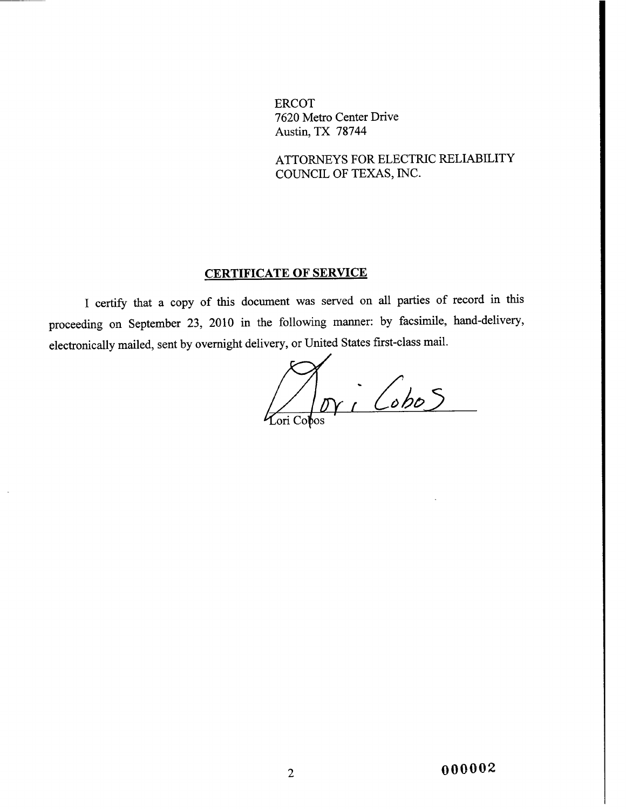ERCOT **7620 Metro Center Drive Austin,** TX 78744

ATTORNEYS FOR ELECTRIC RELIABILITY COUNCIL OF TEXAS, INC.

# CERTIFICATE OF SERVICE

<sup>I</sup> certify that a copy of this document was served **on all parties** of record in this **proceeding on September** 23, 2010 in the following manner: by **facsimile,** hand-delivery, electronically **mailed,** sent by overnight delivery, or United **States first-class mail.**

 $\frac{1}{\sqrt{N}}$   $\frac{1}{\sqrt{N}}$ Lori Cobos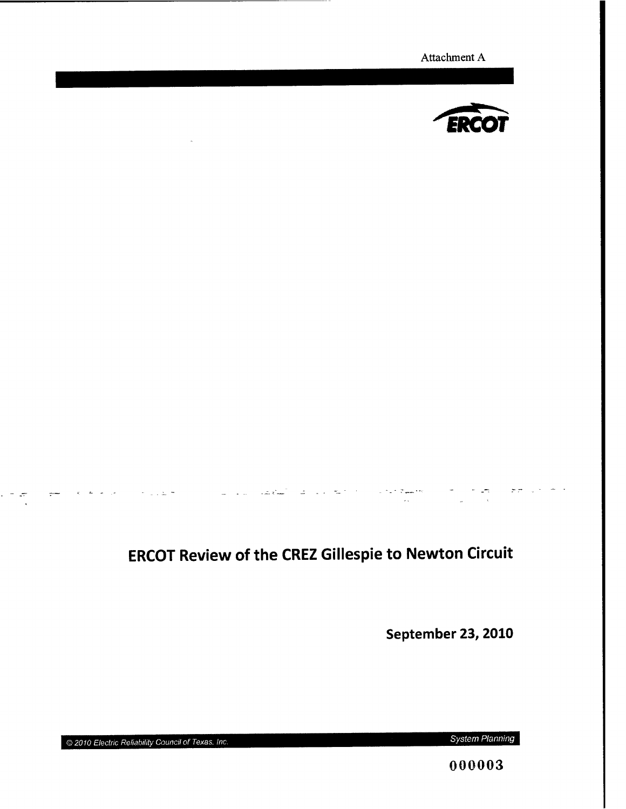Attachment A



# ERCOT **Review of the CREZ Gillespie to Newton** Circuit

September 23, 2010

<sup>Q</sup> *2010 Electric Reliability Council of* Texas, *Inc. System Planning*

 $\sim$ 

 $\mathcal{L}$ 

الراجي الجاملة الج

المناسب المن الموسى الأرجل من<br>المناسب

000003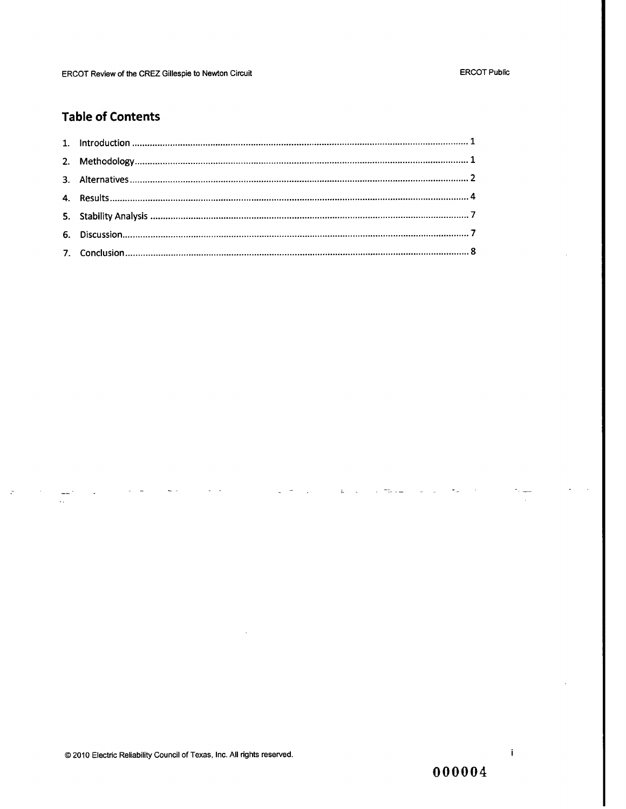#### **ERCOT Public**

# **Table of Contents**

 $\mathcal{L}^{\pm}$ 

 $\omega = \frac{1}{2} \frac{1}{2} \omega^2 + \omega \omega$ 

@ 2010 Electric Reliability Council of Texas, Inc. All rights reserved.

000004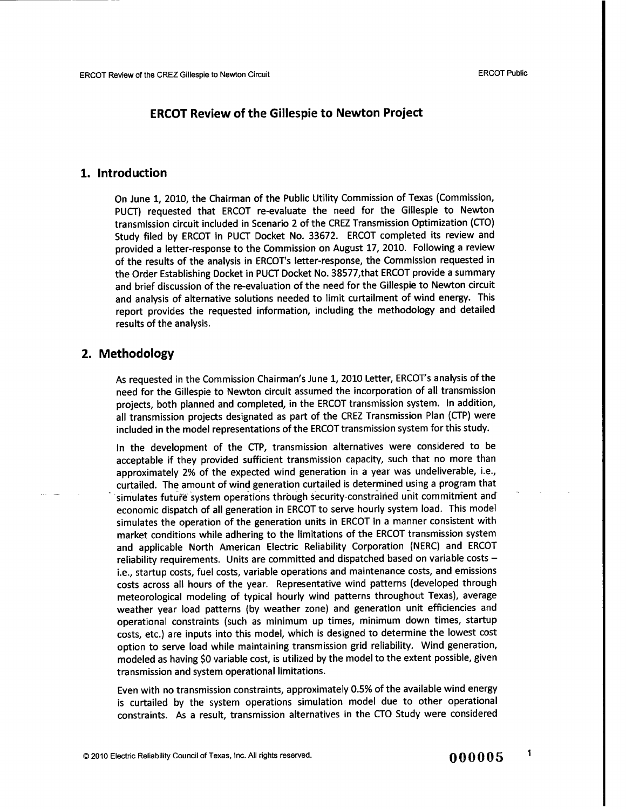### ERCOT Review of the **Gillespie to Newton** Project

#### 1. Introduction

On June 1, 2010, the Chairman of the Public Utility Commission of Texas (Commission, PUCT) requested that ERCOT re-evaluate the need for the Gillespie to Newton transmission circuit included in Scenario 2 of the CREZ Transmission Optimization (CTO) Study filed by ERCOT in PUCT Docket No. 33672. ERCOT completed its review and provided a letter-response to the Commission on August 17, 2010. Following a review of the results of the analysis in ERCOT's letter-response, the Commission requested in the Order Establishing Docket in PUCT Docket No. 38577,that ERCOT provide a summary and brief discussion of the re-evaluation of the need for the Gillespie to Newton circuit and analysis of alternative solutions needed to limit curtailment of wind energy. This report provides the requested information, including the methodology and detailed results of the analysis.

### 2. Methodology

As requested in the Commission Chairman's June 1, 2010 Letter, ERCOT's analysis of the need for the Gillespie to Newton circuit assumed the incorporation of all transmission projects, both planned and completed, in the ERCOT transmission system. In addition, all transmission projects designated as part of the CREZ Transmission Plan (CTP) were included in the model representations of the ERCOT transmission system for this study.

In the development of the CTP, transmission alternatives were considered to be acceptable if they provided sufficient transmission capacity, such that no more than approximately 2% of the expected wind generation in a year was undeliverable, i.e., curtailed. The amount of wind generation curtailed is determined using a program that simulates future system operations through security-constrained unit commitment and economic dispatch of all generation in ERCOT to serve hourly system load. This model simulates the operation of the generation units in ERCOT in a manner consistent with market conditions while adhering to the limitations of the ERCOT transmission system and applicable North American Electric Reliability Corporation (NERC) and ERCOT reliability requirements. Units are committed and dispatched based on variable costs  $$ i.e., startup costs, fuel costs, variable operations and maintenance costs, and emissions costs across all hours of the year. Representative wind patterns (developed through meteorological modeling of typical hourly wind patterns throughout Texas), average weather year load patterns (by weather zone) and generation unit efficiencies and operational constraints (such as minimum up times, minimum down times, startup costs, etc.) are inputs into this model, which is designed to determine the lowest cost option to serve load while maintaining transmission grid reliability. Wind generation, modeled as having \$0 variable cost, is utilized by the model to the extent possible, given transmission and system operational limitations.

**Even with no transmission constraints, approximately 0.5% of the available wind energy is curtailed by the system operations simulation model due to other operational constraints. As a result, transmission alternatives** in the CTO Study **were considered**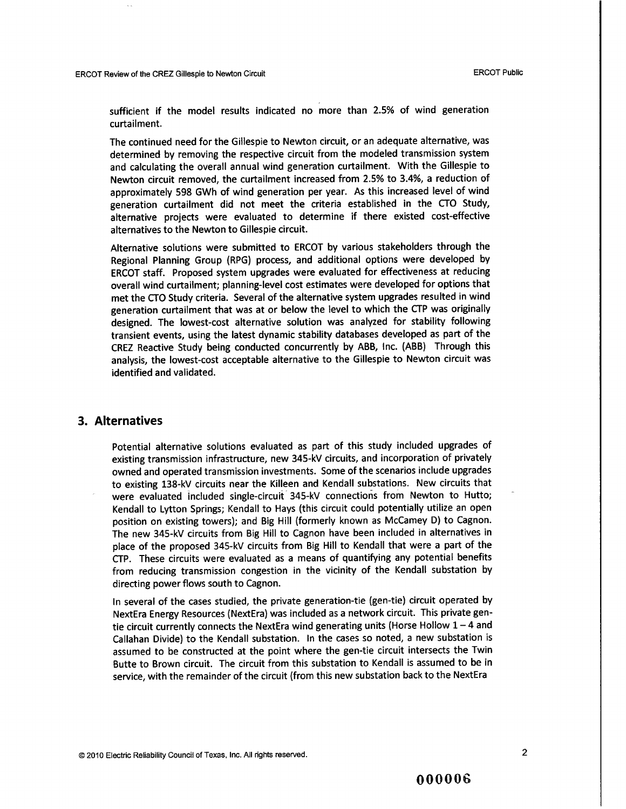sufficient if the model results indicated no more than 2.5% of wind generation curtailment.

The continued need for the Gillespie to Newton circuit, or an adequate alternative, was determined by removing the respective circuit from the modeled transmission system and calculating the overall annual wind generation curtailment. With the Gillespie to Newton circuit removed, the curtailment increased from 2.5% to 3.4%, a reduction of approximately 598 GWh of wind generation per year. As this increased level of wind generation curtailment did not meet the criteria established in the CTO Study, alternative projects were evaluated to determine if there existed cost-effective alternatives to the Newton to Gillespie circuit.

Alternative solutions were submitted to ERCOT by various stakeholders through the Regional Planning Group (RPG) process, and additional options were developed by ERCOT staff. Proposed system upgrades were evaluated for effectiveness at reducing overall wind curtailment; planning-level cost estimates were developed for options that met the CTO Study criteria. Several of the alternative system upgrades resulted in wind generation curtailment that was at or below the level to which the CTP was originally designed. The lowest-cost alternative solution was analyzed for stability following transient events, using the latest dynamic stability databases developed as part of the CREZ Reactive Study being conducted concurrently by ABB, Inc. (ABB) Through this analysis, the lowest-cost acceptable alternative to the Gillespie to Newton circuit was identified and validated.

#### 3. Alternatives

Potential alternative solutions evaluated as part of this study included upgrades of existing transmission infrastructure, new 345-kV circuits, and incorporation of privately owned and operated transmission investments. Some of the scenarios include upgrades to existing 138-kV circuits near the Killeen and Kendall substations. New circuits that were evaluated included single-circuit 345-kV connections from Newton to Hutto; Kendall to Lytton Springs; Kendall to Hays (this circuit could potentially utilize an open position on existing towers); and Big Hill (formerly known as McCamey D) to Cagnon. The new 345-kV circuits from Big Hill to Cagnon have been included in alternatives in place of the proposed 345-kV circuits from Big Hill to Kendall that were a part of the CTP. These circuits were evaluated as a means of quantifying any potential benefits from reducing transmission congestion in the vicinity of the Kendall substation by directing power flows south to Cagnon.

In several of the cases studied, the private generation-tie (gen-tie) circuit operated by NextEra Energy Resources (NextEra) was included as a network circuit. This private gentie circuit currently connects the NextEra wind generating units (Horse Hollow  $1 - 4$  and Callahan Divide) to the Kendall substation. In the cases so noted, a new substation is assumed to be constructed at the point where the gen-tie circuit intersects the Twin Butte to Brown circuit. The circuit from this substation to Kendall is assumed to be in service, with the remainder of the circuit (from this new substation back to the NextEra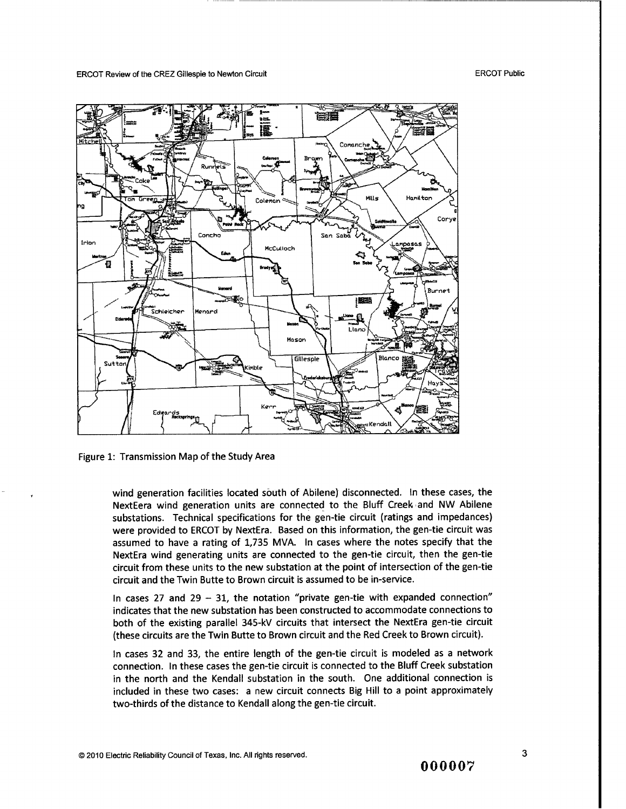ERCOT Public



Figure 1: Transmission Map of the Study Area

wind generation facilities located south of Abilene) disconnected. In these cases, the NextEera wind generation units are connected to the Bluff Creek and NW Abilene substations. Technical specifications for the gen-tie circuit (ratings and impedances) were provided to ERCOT by NextEra. Based on this information, the gen-tie circuit was assumed to have a rating of 1,735 MVA. In cases where the notes specify that the NextEra wind generating units are connected to the gen-tie circuit, then the gen-tie circuit from these units to the new substation at the point of intersection of the gen-tie circuit and the Twin Butte to Brown circuit is assumed to be in-service.

In cases 27 and 29  $-$  31, the notation "private gen-tie with expanded connection" indicates that the new substation has been constructed to accommodate connections to both of the existing parallel 345-kV circuits that intersect the NextEra gen-tie circuit (these circuits are the Twin Butte to Brown circuit and the Red Creek to Brown circuit).

In cases 32 and 33, the entire length of the gen-tie circuit is modeled as a network connection. In these cases the gen-tie circuit is connected to the Bluff Creek substation in the north and the Kendall substation in the south. One additional connection is included in these two cases: a new circuit connects Big Hill to a point approximately two-thirds of the distance to Kendall along the gen-tie circuit.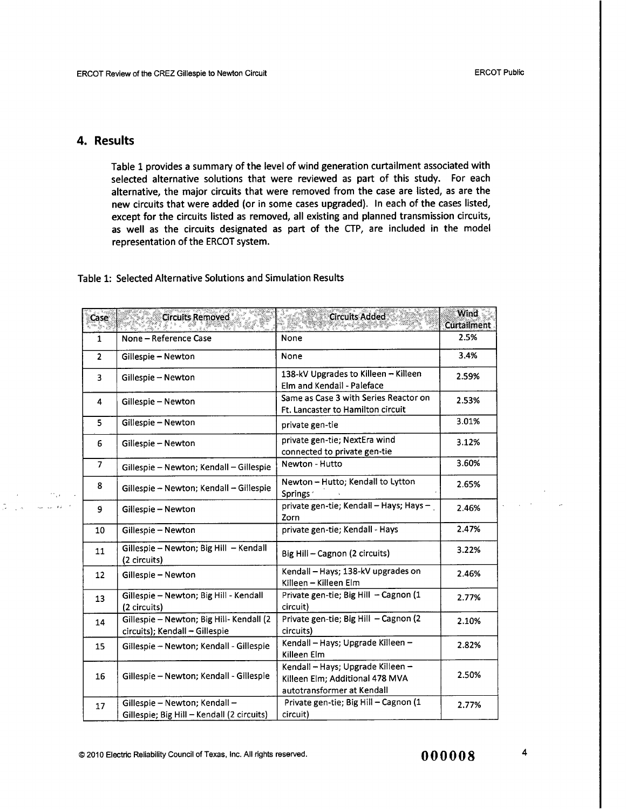### 4. Results

 $\sim 20\,\mu$ 

 $\lambda_{\rm SN} = 2.5 \times 10^{-10}$ 

 $\mathcal{L}_{\mathbf{a}}$  ,  $\mathbf{a}$ 

Table 1 provides a summary of the level of wind generation curtailment associated with selected alternative solutions that were reviewed as part of this study. For each alternative, the major circuits that were removed from the case are listed, as are the new circuits that were added (or in some cases upgraded). In each of the cases listed, except for the circuits listed as removed, all existing and planned transmission circuits, as well as the circuits designated as part of the CTP, are included in the model representation of the ERCOT system.

#### Table 1: Selected Alternative Solutions and Simulation Results

| Case           | <b>Circuits Removed</b>                                                     | <b>Circuits Added</b>                                                                              | <b>Wind</b><br>Curtailment |
|----------------|-----------------------------------------------------------------------------|----------------------------------------------------------------------------------------------------|----------------------------|
| $\mathbf{1}$   | None - Reference Case                                                       | None                                                                                               | 2.5%                       |
| $\overline{2}$ | Gillespie - Newton                                                          | None                                                                                               | 3.4%                       |
| 3              | Gillespie - Newton                                                          | 138-kV Upgrades to Killeen - Killeen<br>Elm and Kendall - Paleface                                 | 2.59%                      |
| 4              | Gillespie - Newton                                                          | Same as Case 3 with Series Reactor on<br>Ft. Lancaster to Hamilton circuit                         | 2.53%                      |
| 5              | Gillespie - Newton<br>private gen-tie                                       |                                                                                                    | 3.01%                      |
| 6              | Gillespie - Newton                                                          | private gen-tie; NextEra wind<br>connected to private gen-tie                                      | 3.12%                      |
| 7              | Gillespie - Newton; Kendall - Gillespie                                     | Newton - Hutto                                                                                     | 3.60%                      |
| 8              | Gillespie - Newton; Kendall - Gillespie                                     | Newton - Hutto; Kendall to Lytton<br>Springs <sup>®</sup>                                          | 2.65%                      |
| 9              | Gillespie - Newton                                                          | private gen-tie; Kendall - Hays; Hays -<br>Zorn                                                    | 2.46%                      |
| 10             | Gillespie - Newton                                                          | private gen-tie; Kendall - Hays                                                                    | 2.47%                      |
| 11             | Gillespie – Newton; Big Hill – Kendall<br>(2 circuits)                      | Big Hill - Cagnon (2 circuits)                                                                     | 3.22%                      |
| 12             | Gillespie - Newton                                                          | Kendall - Hays; 138-kV upgrades on<br>Killeen - Killeen Elm                                        | 2.46%                      |
| 13             | Gillespie - Newton; Big Hill - Kendall<br>(2 circuits)                      | Private gen-tie; Big Hill - Cagnon (1<br>circuit)                                                  | 2.77%                      |
| 14             | Gillespie - Newton; Big Hill- Kendall (2<br>circuits); Kendall - Gillespie  | Private gen-tie; Big Hill - Cagnon (2<br>circuits)                                                 | 2.10%                      |
| 15             | Gillespie - Newton; Kendall - Gillespie                                     | Kendall - Hays; Upgrade Killeen -<br>Killeen Elm                                                   | 2.82%                      |
| 16             | Gillespie – Newton; Kendall - Gillespie                                     | Kendall - Hays; Upgrade Killeen -<br>Killeen Elm; Additional 478 MVA<br>autotransformer at Kendall | 2.50%                      |
| 17             | Gillespie - Newton; Kendall -<br>Gillespie; Big Hill - Kendall (2 circuits) | Private gen-tie; Big Hill - Cagnon (1<br>circuit)                                                  | 2.77%                      |

 $\mathcal{L}_{\rm{max}}$  ,  $\mathcal{L}_{\rm{max}}$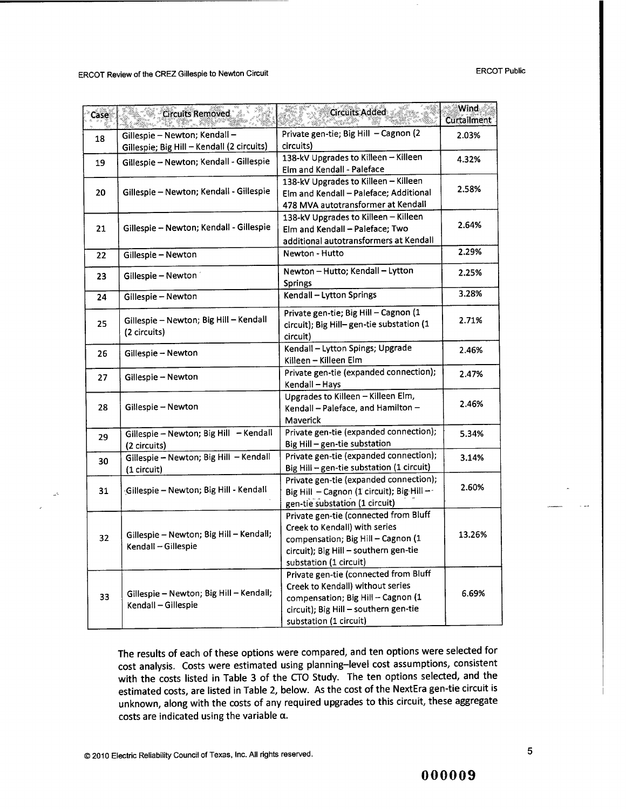| Case | <b>Circuits Removed</b>                                | Circuits Added                                                          | <b>Wind</b><br><b>Curtailment</b> |  |
|------|--------------------------------------------------------|-------------------------------------------------------------------------|-----------------------------------|--|
| 18   | Gillespie - Newton; Kendall -                          | Private gen-tie; Big Hill - Cagnon (2                                   | 2.03%                             |  |
|      | Gillespie; Big Hill - Kendall (2 circuits)             | circuits)<br>138-kV Upgrades to Killeen - Killeen                       |                                   |  |
| 19   | Gillespie - Newton; Kendall - Gillespie                | Elm and Kendall - Paleface                                              | 4.32%                             |  |
|      | Gillespie – Newton; Kendall - Gillespie                | 138-kV Upgrades to Killeen - Killeen                                    |                                   |  |
| 20   |                                                        | Elm and Kendall - Paleface; Additional                                  | 2.58%                             |  |
|      |                                                        | 478 MVA autotransformer at Kendall                                      |                                   |  |
|      | Gillespie - Newton; Kendall - Gillespie                | 138-kV Upgrades to Killeen - Killeen                                    |                                   |  |
| 21   |                                                        | Elm and Kendall - Paleface; Two                                         | 2.64%                             |  |
|      |                                                        | additional autotransformers at Kendall                                  |                                   |  |
| 22   | Newton - Hutto<br>Gillespie - Newton                   |                                                                         | 2.29%                             |  |
| 23   | Gillespie - Newton                                     | Newton - Hutto; Kendall - Lytton                                        | 2.25%                             |  |
|      |                                                        | Springs                                                                 |                                   |  |
| 24   | Gillespie - Newton                                     | Kendall - Lytton Springs                                                | 3.28%                             |  |
|      | Gillespie - Newton; Big Hill - Kendall<br>(2 circuits) | Private gen-tie; Big Hill - Cagnon (1                                   | 2.71%                             |  |
| 25   |                                                        | circuit); Big Hill-gen-tie substation (1<br>circuit)                    |                                   |  |
| 26   | Gillespie - Newton                                     | Kendall - Lytton Spings; Upgrade                                        | 2.46%                             |  |
|      |                                                        | Killeen - Killeen Elm                                                   |                                   |  |
| 27   | Gillespie - Newton                                     | Private gen-tie (expanded connection);                                  | 2.47%                             |  |
|      |                                                        | Kendall - Hays                                                          |                                   |  |
|      |                                                        | Upgrades to Killeen - Killeen Elm,                                      | 2.46%                             |  |
| 28   | Gillespie – Newton                                     | Kendall - Paleface, and Hamilton -                                      |                                   |  |
|      |                                                        | Maverick                                                                |                                   |  |
| 29   | Gillespie - Newton; Big Hill - Kendall                 | Private gen-tie (expanded connection);                                  | 5.34%                             |  |
|      | (2 circuits)                                           | Big Hill - gen-tie substation<br>Private gen-tie (expanded connection); |                                   |  |
| 30   | Gillespie - Newton; Big Hill - Kendall                 | Big Hill - gen-tie substation (1 circuit)                               | 3.14%                             |  |
|      | (1 circuit)                                            | Private gen-tie (expanded connection);                                  |                                   |  |
| 31   | Gillespie – Newton; Big Hill - Kendall                 | Big Hill - Cagnon (1 circuit); Big Hill --                              | 2.60%                             |  |
|      |                                                        | gen-tie substation (1 circuit)                                          |                                   |  |
|      |                                                        | Private gen-tie (connected from Bluff                                   |                                   |  |
|      |                                                        | Creek to Kendall) with series                                           |                                   |  |
| 32   | Gillespie - Newton; Big Hill - Kendall;                | compensation; Big Hill - Cagnon (1                                      | 13.26%                            |  |
|      | Kendall - Gillespie                                    | circuit); Big Hill - southern gen-tie                                   |                                   |  |
|      |                                                        | substation (1 circuit)                                                  |                                   |  |
|      |                                                        | Private gen-tie (connected from Bluff                                   |                                   |  |
|      | Gillespie - Newton; Big Hill - Kendall;                | Creek to Kendall) without series                                        | 6.69%                             |  |
| 33   |                                                        | compensation; Big Hill - Cagnon (1                                      |                                   |  |
|      | Kendall - Gillespie                                    | circuit); Big Hill - southern gen-tie                                   |                                   |  |
|      |                                                        | substation (1 circuit)                                                  |                                   |  |

The results of each of these options were compared, and ten options were selected for cost analysis. Costs were estimated using planning-level cost assumptions, consistent with the costs listed in Table 3 of the CTO Study. The ten options selected, and the estimated costs, are listed in Table 2, below. As the cost of the NextEra gen-tie circuit is unknown, along with the costs of any required upgrades to this circuit, these aggregate costs are indicated using the variable  $\alpha$ .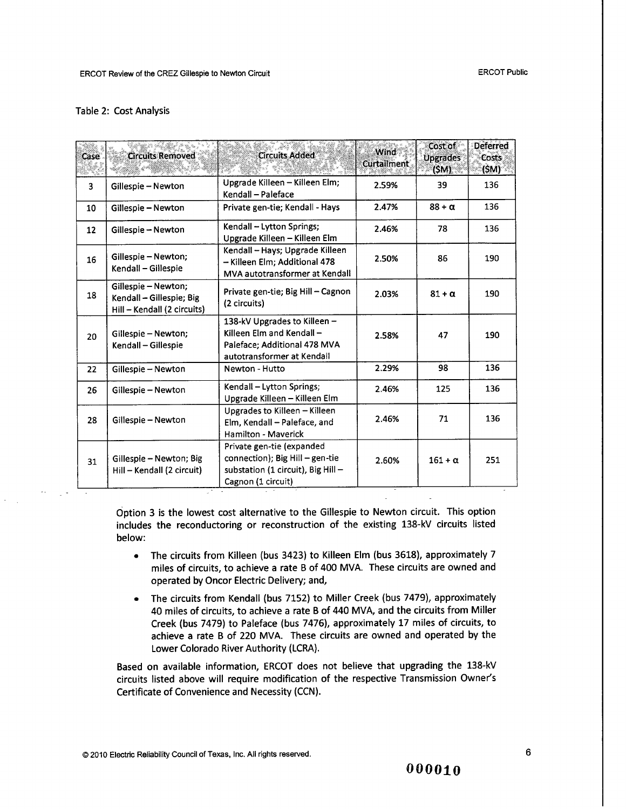#### Table 2: Cost Analysis

| Case | <b>Circuits Removed</b>                                                        | <b>Circuits Added</b>                                                                                                    | Wind<br>Curtailment | Cost of<br><b>Upgrades</b><br>(SM) | <b>Deferred</b><br>Costs<br>(\$M)* |
|------|--------------------------------------------------------------------------------|--------------------------------------------------------------------------------------------------------------------------|---------------------|------------------------------------|------------------------------------|
| 3    | Gillespie - Newton                                                             | Upgrade Killeen - Killeen Elm;<br>Kendall - Paleface                                                                     | 2.59%               | 39                                 | 136                                |
| 10   | Gillespie - Newton                                                             | Private gen-tie; Kendall - Hays                                                                                          | 2.47%               | $88 + \alpha$                      | 136                                |
| 12   | Gillespie - Newton                                                             | Kendall - Lytton Springs;<br>Upgrade Killeen - Killeen Elm                                                               | 2.46%               | 78                                 | 136                                |
| 16   | Gillespie - Newton;<br>Kendall - Gillespie                                     | Kendall - Hays; Upgrade Killeen<br>- Killeen Elm; Additional 478<br>MVA autotransformer at Kendall                       | 2.50%               | 86                                 | 190                                |
| 18   | Gillespie - Newton;<br>Kendall - Gillespie; Big<br>Hill - Kendall (2 circuits) | Private gen-tie; Big Hill - Cagnon<br>(2 circuits)                                                                       | 2.03%               | $81 + \alpha$                      | 190                                |
| 20   | Gillespie - Newton;<br>Kendall - Gillespie                                     | 138-kV Upgrades to Killeen -<br>Killeen Elm and Kendall -<br>Paleface; Additional 478 MVA<br>autotransformer at Kendall  | 2.58%               | 47                                 | 190                                |
| 22   | Gillespie – Newton                                                             | Newton - Hutto                                                                                                           | 2.29%               | 98                                 | 136                                |
| 26   | Gillespie - Newton                                                             | Kendall - Lytton Springs;<br>Upgrade Killeen - Killeen Elm                                                               | 2.46%               | 125                                | 136                                |
| 28   | Gillespie - Newton                                                             | Upgrades to Killeen - Killeen<br>Elm, Kendall - Paleface, and<br>Hamilton - Maverick                                     | 2.46%               | 71                                 | 136                                |
| 31   | Gillespie – Newton; Big<br>Hill - Kendall (2 circuit)                          | Private gen-tie (expanded<br>connection); Big Hill - gen-tie<br>substation (1 circuit), Big Hill -<br>Cagnon (1 circuit) | 2.60%               | $161 + \alpha$                     | 251                                |

Option 3 is the lowest cost alternative to the Gillespie to Newton circuit. This option includes the reconductoring or reconstruction of the existing 138-kV circuits listed below:

- The circuits from Killeen (bus 3423) to Killeen Elm (bus 3618), approximately 7 miles of circuits, to achieve a rate B of 400 MVA. These circuits are owned and operated by Oncor Electric Delivery; and,
- The circuits from Kendall (bus 7152) to Miller Creek (bus 7479), approximately 40 miles of circuits, to achieve a rate B of 440 MVA, and the circuits from Miller Creek (bus 7479) to Paleface (bus 7476), approximately 17 miles of circuits, to achieve a rate B of 220 MVA. These circuits are owned and operated by the Lower Colorado River Authority (LCRA).

Based on available information, ERCOT does not believe that upgrading the 138-kV circuits listed above will require modification of the respective Transmission Owner's Certificate of Convenience and Necessity (CCN).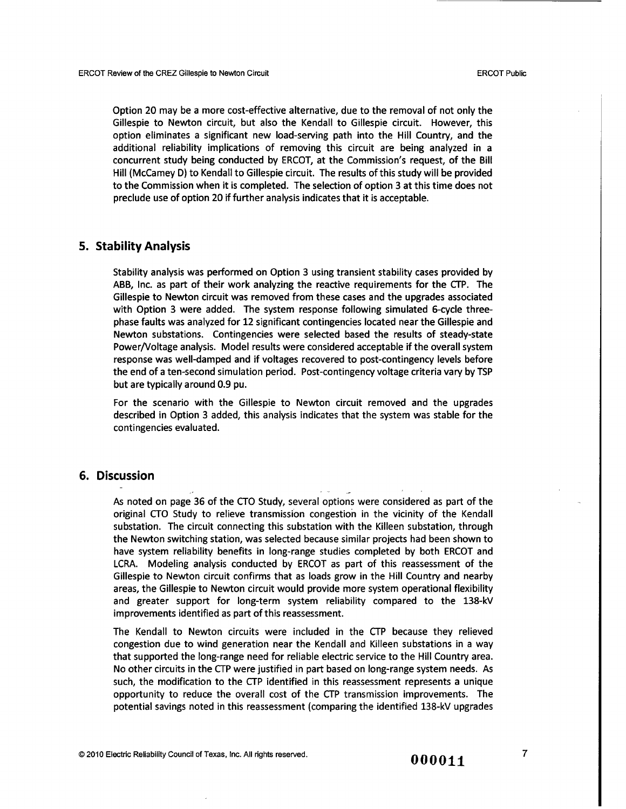**Option 20 may be a more cost-effective alternative, due to the removal of not only the Gillespie to Newton circuit, but also the Kendall to Gillespie circuit. However, this option eliminates a significant new load-serving path into the Hill Country, and the additional reliability implications of removing this circuit are being analyzed in a concurrent study being conducted** by ERCOT, **at the Commission's request, of the Bill Hill (McCamey D) to Kendall to Gillespie circuit. The results of this study will be provided to the Commission when it is completed. The selection of option 3 at this time does not preclude use of option 20 if further analysis indicates that it is acceptable.**

#### 5. Stability Analysis

**Stability analysis was performed on Option 3 using transient stability cases provided by ABB, Inc. as part of their work analyzing the reactive requirements for the** CTP. The **Gillespie to Newton circuit was removed from these cases and the upgrades associated with Option 3 were added. The system response following simulated 6-cycle threephase faults was analyzed for 12 significant contingencies located near the Gillespie and Newton substations. Contingencies were selected based the results of steady-state Power/Voltage analysis. Model results were considered acceptable if the overall system response was well-damped and if voltages recovered to post-contingency levels before the end of a ten-second simulation period. Post-contingency voltage criteria** vary by TSP **but are typically around 0.9 pu.**

For the scenario with the Gillespie to Newton circuit removed and the upgrades described in Option 3 added, this analysis indicates that the system was stable for the contingencies evaluated.

#### 6. Discussion

As noted on page 36 of the CTO Study, several options were considered as part of the original CTO Study to relieve transmission congestion in the vicinity of the Kendall substation. The circuit connecting this substation with the Killeen substation, through the Newton switching station, was selected because similar projects had been shown to have system reliability benefits in long-range studies completed by both ERCOT and LCRA. Modeling analysis conducted by ERCOT as part of this reassessment of the Gillespie to Newton circuit confirms that as loads grow in the Hill Country and nearby areas, the Gillespie to Newton circuit would provide more system operational flexibility and greater support for long-term system reliability compared to the 138-kV improvements identified as part of this reassessment.

The Kendall to Newton circuits were included in the CTP because they relieved congestion due to wind generation near the Kendall and Killeen substations in a way that supported the long-range need for reliable electric service to the Hill Country area. No other circuits in the CTP were justified in part based on long-range system needs. As such, the modification to the CTP identified in this reassessment represents a unique opportunity to reduce the overall cost of the CTP transmission improvements. The potential savings noted in this reassessment (comparing the identified 138-kV upgrades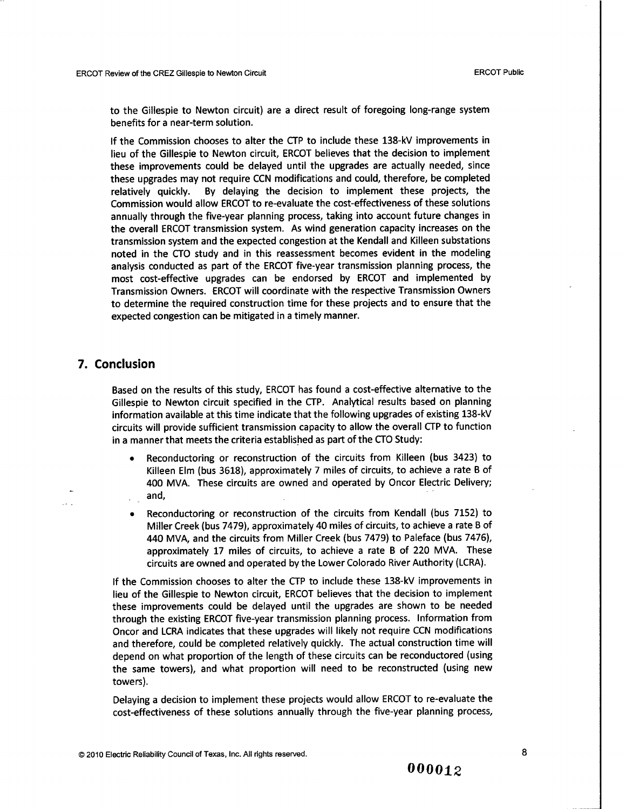to the Gillespie to Newton circuit) are a direct result of foregoing long-range system benefits for a near-term solution.

If the Commission chooses to alter the CTP to include these 138-kV improvements in lieu of the Gillespie to Newton circuit, ERCOT believes that the decision to implement these improvements could be delayed until the upgrades are actually needed, since these upgrades may not require CCN modifications and could, therefore, be completed relatively quickly. By delaying the decision to implement these projects, the Commission would allow ERCOT to re-evaluate the cost-effectiveness of these solutions annually through the five-year planning process, taking into account future changes in the overall ERCOT transmission system. As wind generation capacity increases on the transmission system and the expected congestion at the Kendall and Killeen substations noted in the CTO study and in this reassessment becomes evident in the modeling analysis conducted as part of the ERCOT five-year transmission planning process, the most cost-effective upgrades can be endorsed by ERCOT and implemented by Transmission Owners. ERCOT will coordinate with the respective Transmission Owners to determine the required construction time for these projects and to ensure that the expected congestion can be mitigated in a timely manner.

#### 7. Conclusion

Based on the results of this study, ERCOT has found a cost-effective alternative to the Gillespie to Newton circuit specified in the CTP. Analytical results based on planning information available at this time indicate that the following upgrades of existing 138-kV circuits will provide sufficient transmission capacity to allow the overall CTP to function in a manner that meets the criteria established as part of the CTO Study:

- Reconductoring or reconstruction of the circuits from Killeen (bus 3423) to Killeen Elm (bus 3618), approximately 7 miles of circuits, to achieve a rate B of 400 MVA. These circuits are owned and operated by Oncor Electric Delivery; and,
- Reconductoring or reconstruction of the circuits from Kendall (bus 7152) to Miller Creek (bus 7479), approximately 40 miles of circuits, to achieve a rate B of 440 MVA, and the circuits from Miller Creek (bus 7479) to Paleface (bus 7476), approximately 17 miles of circuits, to achieve a rate B of 220 MVA. These circuits are owned and operated by the Lower Colorado River Authority (LCRA).

If the Commission chooses to alter the CTP to include these 138-kV improvements in lieu of the Gillespie to Newton circuit, ERCOT believes that the decision to implement these improvements could be delayed until the upgrades are shown to be needed through the existing ERCOT five-year transmission planning process. Information from Oncor and LCRA indicates that these upgrades will likely not require CCN modifications and therefore, could be completed relatively quickly. The actual construction time will depend on what proportion of the length of these circuits can be reconductored (using the same towers), and what proportion will need to be reconstructed (using new towers).

Delaying a decision to implement these projects would allow ERCOT to re-evaluate the cost-effectiveness of these solutions annually through the five-year planning process,